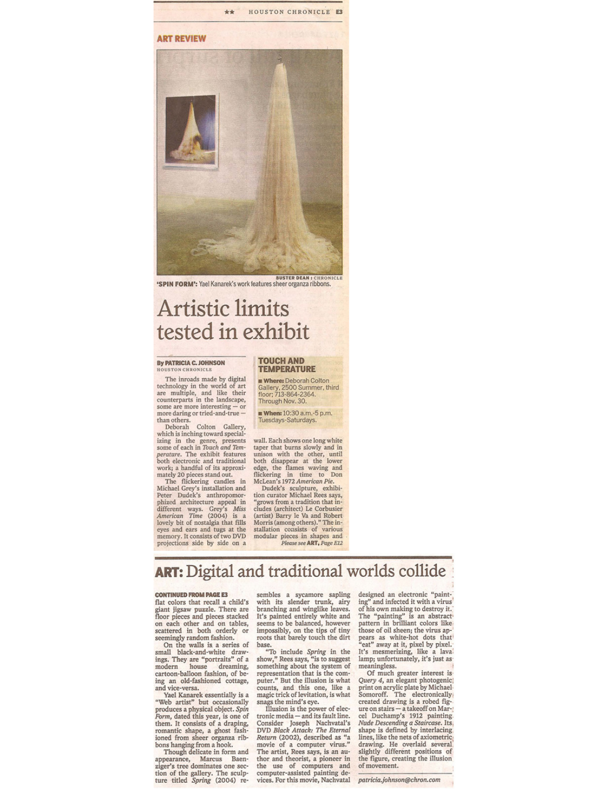

### **ART REVIEW**



**BUSTER DEAN : CHRONICLE** 'SPIN FORM': Yael Kanarek's work features sheer organza ribbons.

# **Artistic limits** tested in exhibit

#### **By PATRICIA C. JOHNSON HOUSTON CHRONICLE**

The inroads made by digital technology in the world of art<br>are multiple, and like their<br>counterparts in the landscape, some are more interesting - or<br>more daring or tried-and-true than others.<br>Deborah Colton Gallery,

which is inching toward specializing in the genre, presents<br>some of each in Touch and Temperature. The exhibit features<br>both electronic and traditional work; a handful of its approxi-

mately 20 pieces stand out.<br>The flickering candles in The interesting candises in<br>Michael Grey's installation and<br>Peter Dudek's anthropomor-<br>phized architecture appeal in<br>different ways. Grey's Miss<br>American Time (2004) is a lovely bit of nostalgia that fills eyes and ears and tugs at the<br>memory. It consists of two DVD projections side by side on a

**TOUCH AND TEMPERATURE** 

**u Where:** Deborah Colton<br>Gallery, 2500 Summer, third<br>floor; 713-864-2364. Through Nov. 30.

**m When:** 10:30 a.m.-5 p.m. Tuesdays-Saturdays

wall. Each shows one long white<br>taper that burns slowly and in taper that bursts slowly and mison with the other, until<br>both disappear at the lower<br>edge, the flames waving and<br>flickering in time to Don flickering in time to De McLean's 1972 American Pie.

Dudek's sculpture, exhibi-<br>tion curator Michael Rees says, 'grows from a tradition that includes (architect) Le Corbusier<br>(artist) Barry le Va and Robert Morris (among others)." The in-<br>stallation consists of various modular pieces in shapes and Please see ART, Page E12

# ART: Digital and traditional worlds collide

#### **CONTINUED FROM PAGE E3**

flat colors that recall a child's giant jigsaw puzzle. There are<br>floor pieces and pieces stacked on each other and on tables, scattered in both orderly or seemingly random fashion.<br>On the walls is a series of

small black-and-white drawings. They are "portraits" of a<br>modern house dreaming,<br>cartoon-balloon fashion, of being an old-fashioned cottage, and vice-versa.<br>Yael Kanarek essentially is a

"Web artist" but occasionally produces a physical object. Spin<br>Form, dated this year, is one of<br>them. It consists of a draping, romantic shape, a ghost fashioned from sheer organza ribbons hanging from a hook.

Though delicate in form and appearance, Marcus Baen-<br>ziger's tree dominates one section of the gallery. The sculp-<br>ture titled Spring (2004) re-

sembles a sycamore sapling with its slender trunk, airy branching and winglike leaves. It's painted entirely white and<br>seems to be balanced, however impossibly, on the tips of tiny<br>roots that barely touch the dirt base.

"To include Spring in the show," Rees says, "is to suggest<br>something about the system of representation that is the computer." But the illusion is what counts, and this one, like a<br>magic trick of levitation, is what snags the mind's eye.

Illusion is the power of electronic media – and its fault line.<br>Consider Joseph Nachvatal's DVD Black Attack: The Eternal<br>Return (2002), described as "a<br>movie of a computer virus." The artist, Rees says, is an author and theorist, a pioneer in the use of computers and computer-assisted painting devices. For this movie, Nachvatal

designed an electronic "painting" and infected it with a virus of his own making to destroy it.<br>The "painting" is an abstract pattern in brilliant colors like those of oil sheen; the virus appears as white-hot dots that "eat" away at it, pixel by pixel. It's mesmerizing, like a laval<br>lamp; unfortunately, it's just as<br>meaningless.

Of much greater interest is Ot much greater interest is<br>Query 4, an elegant photogenic<br>print on acrylic plate by Michael-<br>Somoroff. The electronically<br>created drawing is a robed figcreated utawing is a closer time<br>of the current particle use of the puchamp's 1912 painting<br>*Nude Descending a Stairceae*. Its<br>shape is defined by interlacing<br>lines, like the nets of axiometric<br>drawing. He overlad several slightly different positions of the figure, creating the illusion<br>of movement.

patricia.johnson@chron.com